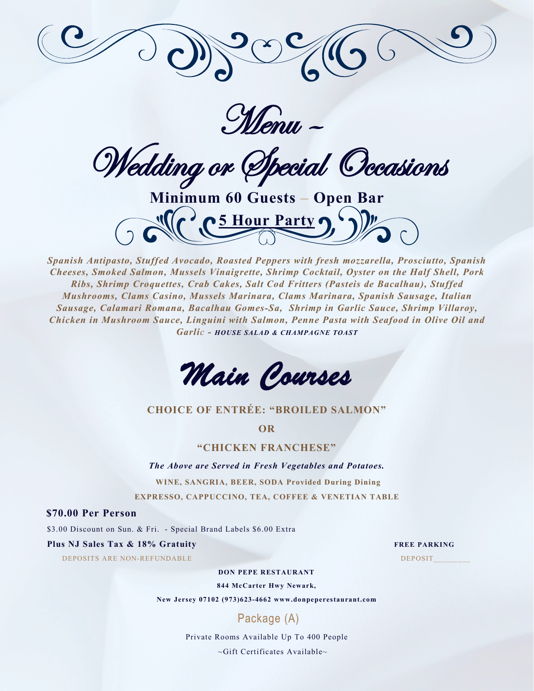

Menu –

Wedding or Special Occasions

**Minimum 60 Guests – Open Bar 5 Hour Party** 

*Spanish Antipasto, Stuffed Avocado, Roasted Peppers with fresh mozzarella, Prosciutto, Spanish Cheeses, Smoked Salmon, Mussels Vinaigrette, Shrimp Cocktail, Oyster on the Half Shell, Pork Ribs, Shrimp Croquettes, Crab Cakes, Salt Cod Fritters (Pasteis de Bacalhau), Stuffed Mushrooms, Clams Casino, Mussels Marinara, Clams Marinara, Spanish Sausage, Italian Sausage, Calamari Romana, Bacalhau Gomes-Sa, Shrimp in Garlic Sauce, Shrimp Villaroy, Chicken in Mushroom Sauce, Linguini with Salmon, Penne Pasta with Seafood in Olive Oil and Garlic - HOUSE SALAD & CHAMPAGNE TOAST*

*Main Courses* 

### **CHOICE OF ENTRÉE: "BROILED SALMON"**

**OR**

**"CHICKEN FRANCHESE"**

*The Above are Served in Fresh Vegetables and Potatoes.*

**WINE, SANGRIA, BEER, SODA Provided During Dining**

**EXPRESSO, CAPPUCCINO, TEA, COFFEE & VENETIAN TABLE**

### **\$70.00 Per Person**

\$3.00 Discount on Sun. & Fri. - Special Brand Labels \$6.00 Extra

### **Plus NJ Sales Tax & 18% Gratuity FREE PARKING**

DEPOSITS ARE NON-REFUNDABLE DEPOSIT

#### **DON PEPE RESTAURANT**

**844 McCarter Hwy Newark,**

**New Jersey 07102 (973)623-4662 www.donpeperestaurant.com**

### Package (A)

Private Rooms Available Up To 400 People

~Gift Certificates Available~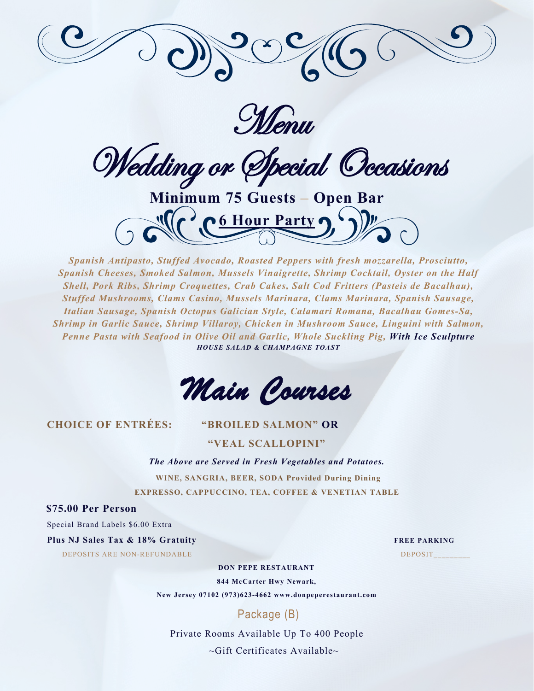

Menu

Wedding or Special Occasions

**Minimum 75 Guests – Open Bar 6 Hour Party** 

*Spanish Antipasto, Stuffed Avocado, Roasted Peppers with fresh mozzarella, Prosciutto, Spanish Cheeses, Smoked Salmon, Mussels Vinaigrette, Shrimp Cocktail, Oyster on the Half Shell, Pork Ribs, Shrimp Croquettes, Crab Cakes, Salt Cod Fritters (Pasteis de Bacalhau), Stuffed Mushrooms, Clams Casino, Mussels Marinara, Clams Marinara, Spanish Sausage, Italian Sausage, Spanish Octopus Galician Style, Calamari Romana, Bacalhau Gomes-Sa, Shrimp in Garlic Sauce, Shrimp Villaroy, Chicken in Mushroom Sauce, Linguini with Salmon, Penne Pasta with Seafood in Olive Oil and Garlic, Whole Suckling Pig, With Ice Sculpture HOUSE SALAD & CHAMPAGNE TOAST*

*Main Courses* 

### **CHOICE OF ENTRÉES: "BROILED SALMON" OR**

**"VEAL SCALLOPINI"**

*The Above are Served in Fresh Vegetables and Potatoes.* **WINE, SANGRIA, BEER, SODA Provided During Dining EXPRESSO, CAPPUCCINO, TEA, COFFEE & VENETIAN TABLE**

**\$75.00 Per Person** 

Special Brand Labels \$6.00 Extra

**Plus NJ Sales Tax & 18% Gratuity FREE PARKING** 

DEPOSITS ARE NON-REFUNDABLE DEPOSIT\_\_\_\_\_\_\_\_\_

**DON PEPE RESTAURANT**

**844 McCarter Hwy Newark,**

**New Jersey 07102 (973)623-4662 www.donpeperestaurant.com**

# Package (B)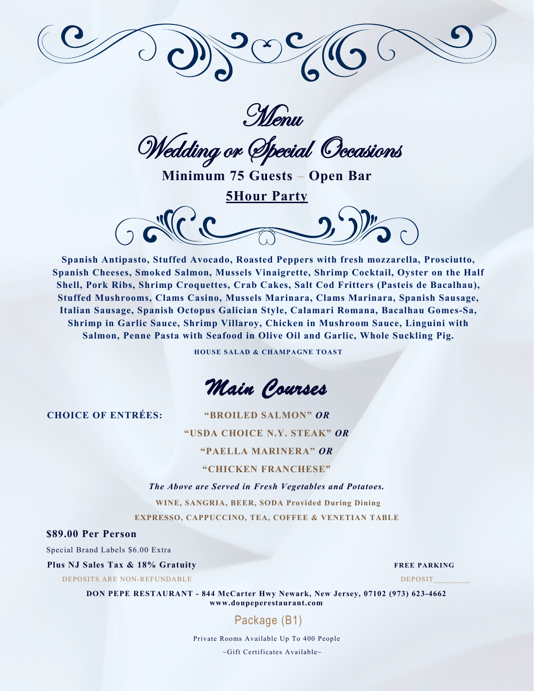



Wedding or Special Occasions

**Minimum 75 Guests – Open Bar**

**5Hour Party** 



**Spanish Antipasto, Stuffed Avocado, Roasted Peppers with fresh mozzarella, Prosciutto, Spanish Cheeses, Smoked Salmon, Mussels Vinaigrette, Shrimp Cocktail, Oyster on the Half Shell, Pork Ribs, Shrimp Croquettes, Crab Cakes, Salt Cod Fritters (Pasteis de Bacalhau), Stuffed Mushrooms, Clams Casino, Mussels Marinara, Clams Marinara, Spanish Sausage, Italian Sausage, Spanish Octopus Galician Style, Calamari Romana, Bacalhau Gomes-Sa, Shrimp in Garlic Sauce, Shrimp Villaroy, Chicken in Mushroom Sauce, Linguini with Salmon, Penne Pasta with Seafood in Olive Oil and Garlic, Whole Suckling Pig.**

**HOUSE SALAD & CHAMPAGNE TOAST**

*Main Courses* 

**CHOICE OF ENTRÉES: "BROILED SALMON"** *OR*

**"USDA CHOICE N.Y. STEAK"** *OR*

**"PAELLA MARINERA"** *OR*

### **"CHICKEN FRANCHESE"**

*The Above are Served in Fresh Vegetables and Potatoes.*

**WINE, SANGRIA, BEER, SODA Provided During Dining EXPRESSO, CAPPUCCINO, TEA, COFFEE & VENETIAN TABLE**

**\$89.00 Per Person** 

Special Brand Labels \$6.00 Extra

### **Plus NJ Sales Tax & 18% Gratuity FREE PARKING**

DEPOSITS ARE NON-REFUNDABLE DEPOSITS

**DON PEPE RESTAURANT - 844 McCarter Hwy Newark, New Jersey, 07102 (973) 623-4662 www.donpeperestaurant.com**

# Package (B1)

Private Rooms Available Up To 400 People

~Gift Certificates Available~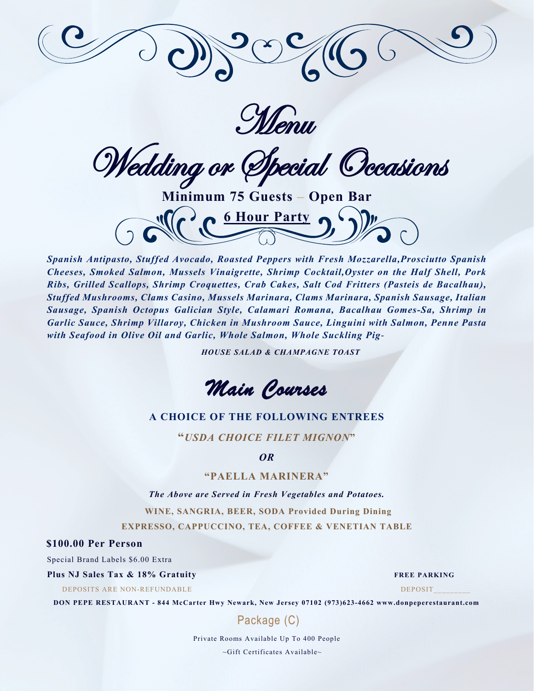

Menu

Wedding or Special Occasions

**Minimum 75 Guests – Open Bar 6 Hour Party** 

*Spanish Antipasto, Stuffed Avocado, Roasted Peppers with Fresh Mozzarella,Prosciutto Spanish Cheeses, Smoked Salmon, Mussels Vinaigrette, Shrimp Cocktail,Oyster on the Half Shell, Pork Ribs, Grilled Scallops, Shrimp Croquettes, Crab Cakes, Salt Cod Fritters (Pasteis de Bacalhau), Stuffed Mushrooms, Clams Casino, Mussels Marinara, Clams Marinara, Spanish Sausage, Italian Sausage, Spanish Octopus Galician Style, Calamari Romana, Bacalhau Gomes-Sa, Shrimp in Garlic Sauce, Shrimp Villaroy, Chicken in Mushroom Sauce, Linguini with Salmon, Penne Pasta with Seafood in Olive Oil and Garlic, Whole Salmon, Whole Suckling Pig*-

*HOUSE SALAD & CHAMPAGNE TOAST*

*Main Courses* 

### **A CHOICE OF THE FOLLOWING ENTREES**

**"***USDA CHOICE FILET MIGNON***"**

*OR*

### **"PAELLA MARINERA"**

*The Above are Served in Fresh Vegetables and Potatoes.*

**WINE, SANGRIA, BEER, SODA Provided During Dining**

**EXPRESSO, CAPPUCCINO, TEA, COFFEE & VENETIAN TABLE**

### **\$100.00 Per Person**

Special Brand Labels \$6.00 Extra

### **Plus NJ Sales Tax & 18% Gratuity FREE PARKING**

DEPOSITS ARE NON-REFUNDABLE DEPOSIT

**DON PEPE RESTAURANT - 844 McCarter Hwy Newark, New Jersey 07102 (973)623-4662 www.donpeperestaurant.com**

Package (C)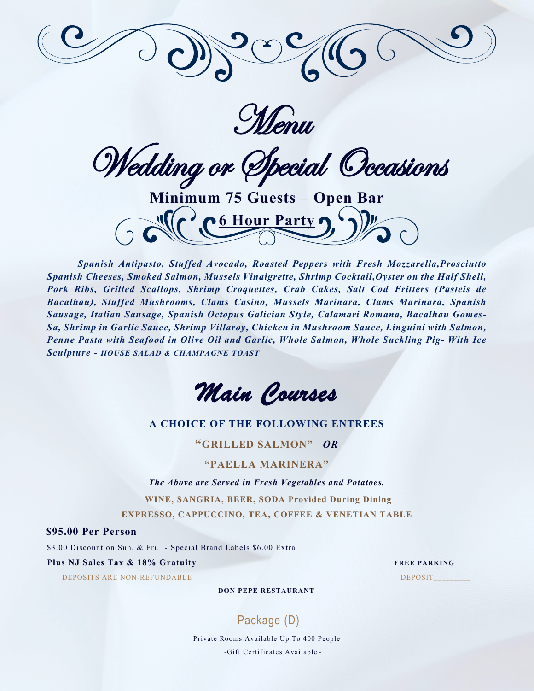

Menu

Wedding or Special Occasions

**Minimum 75 Guests – Open Bar 6 Hour Party** 

*Spanish Antipasto, Stuffed Avocado, Roasted Peppers with Fresh Mozzarella,Prosciutto Spanish Cheeses, Smoked Salmon, Mussels Vinaigrette, Shrimp Cocktail,Oyster on the Half Shell, Pork Ribs, Grilled Scallops, Shrimp Croquettes, Crab Cakes, Salt Cod Fritters (Pasteis de Bacalhau), Stuffed Mushrooms, Clams Casino, Mussels Marinara, Clams Marinara, Spanish Sausage, Italian Sausage, Spanish Octopus Galician Style, Calamari Romana, Bacalhau Gomes-Sa, Shrimp in Garlic Sauce, Shrimp Villaroy, Chicken in Mushroom Sauce, Linguini with Salmon, Penne Pasta with Seafood in Olive Oil and Garlic, Whole Salmon, Whole Suckling Pig*- *With Ice Sculpture - HOUSE SALAD & CHAMPAGNE TOAST*



### **A CHOICE OF THE FOLLOWING ENTREES**

**"GRILLED SALMON"** *OR*

### **"PAELLA MARINERA"**

*The Above are Served in Fresh Vegetables and Potatoes.*

 **WINE, SANGRIA, BEER, SODA Provided During Dining** 

**EXPRESSO, CAPPUCCINO, TEA, COFFEE & VENETIAN TABLE**

**\$95.00 Per Person** 

\$3.00 Discount on Sun. & Fri. - Special Brand Labels \$6.00 Extra

**Plus NJ Sales Tax & 18% Gratuity FREE PARKING** 

DEPOSITS ARE NON-REFUNDABLE DEPOSIT

**DON PEPE RESTAURANT**

# Package (D)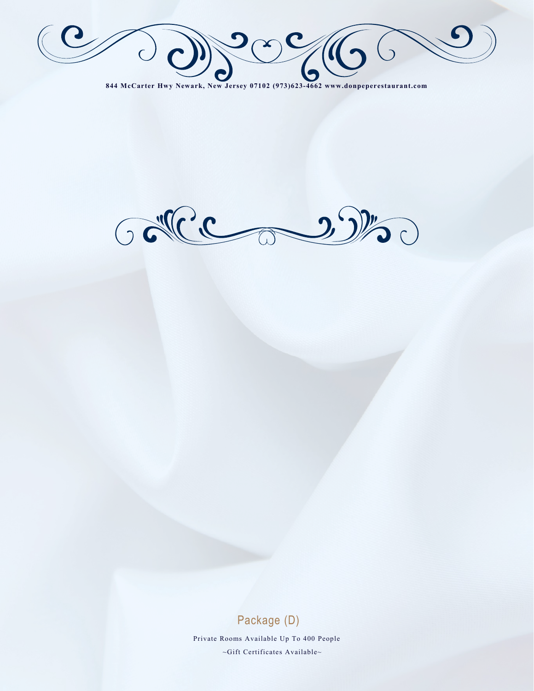$209/6$  $\bigcirc$  $\bigcup$ 

**844 McCarter Hwy Newark, New Jersey 07102 (973)623-4662 www.donpeperestaurant.com**



### Package (D)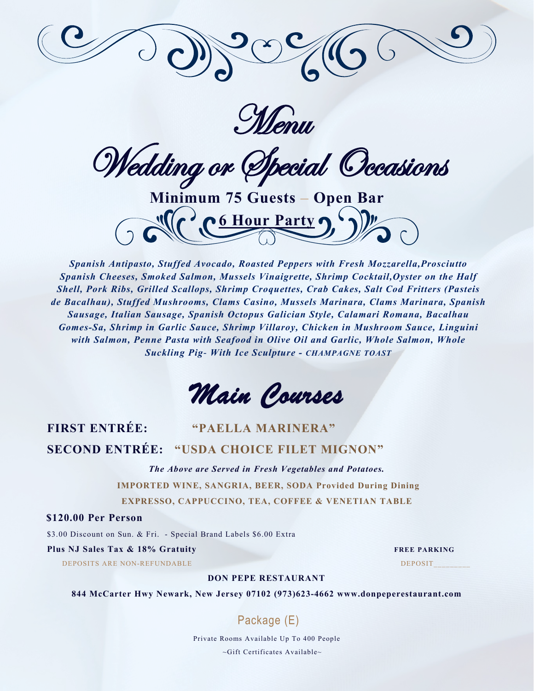

**Menu** 

Wedding or Special Occasions

**Minimum 75 Guests – Open Bar 6 Hour Party** 

*Spanish Antipasto, Stuffed Avocado, Roasted Peppers with Fresh Mozzarella,Prosciutto Spanish Cheeses, Smoked Salmon, Mussels Vinaigrette, Shrimp Cocktail,Oyster on the Half Shell, Pork Ribs, Grilled Scallops, Shrimp Croquettes, Crab Cakes, Salt Cod Fritters (Pasteis de Bacalhau), Stuffed Mushrooms, Clams Casino, Mussels Marinara, Clams Marinara, Spanish Sausage, Italian Sausage, Spanish Octopus Galician Style, Calamari Romana, Bacalhau Gomes-Sa, Shrimp in Garlic Sauce, Shrimp Villaroy, Chicken in Mushroom Sauce, Linguini with Salmon, Penne Pasta with Seafood in Olive Oil and Garlic, Whole Salmon, Whole Suckling Pig*- *With Ice Sculpture - CHAMPAGNE TOAST*

*Main Courses* 

# **FIRST ENTRÉE: "PAELLA MARINERA" SECOND ENTRÉE: "USDA CHOICE FILET MIGNON"**

*The Above are Served in Fresh Vegetables and Potatoes.*

**IMPORTED WINE, SANGRIA, BEER, SODA Provided During Dining EXPRESSO, CAPPUCCINO, TEA, COFFEE & VENETIAN TABLE**

**\$120.00 Per Person** 

\$3.00 Discount on Sun. & Fri. - Special Brand Labels \$6.00 Extra

### **Plus NJ Sales Tax & 18% Gratuity FREE PARKING**

DEPOSITS ARE NON-REFUNDABLE DEPOSIT

### **DON PEPE RESTAURANT**

**844 McCarter Hwy Newark, New Jersey 07102 (973)623-4662 www.donpeperestaurant.com**

# Package (E)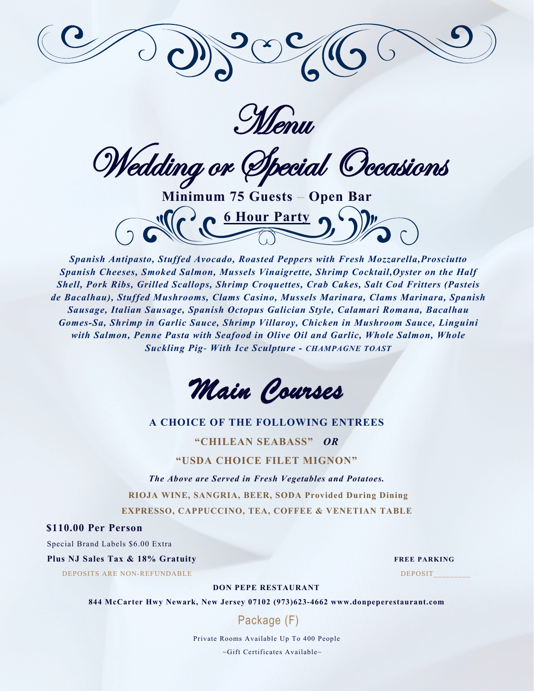

Menu

Wedding or Special Occasions

**Minimum 75 Guests – Open Bar 6 Hour Party** 

*Spanish Antipasto, Stuffed Avocado, Roasted Peppers with Fresh Mozzarella,Prosciutto Spanish Cheeses, Smoked Salmon, Mussels Vinaigrette, Shrimp Cocktail,Oyster on the Half Shell, Pork Ribs, Grilled Scallops, Shrimp Croquettes, Crab Cakes, Salt Cod Fritters (Pasteis de Bacalhau), Stuffed Mushrooms, Clams Casino, Mussels Marinara, Clams Marinara, Spanish Sausage, Italian Sausage, Spanish Octopus Galician Style, Calamari Romana, Bacalhau Gomes-Sa, Shrimp in Garlic Sauce, Shrimp Villaroy, Chicken in Mushroom Sauce, Linguini with Salmon, Penne Pasta with Seafood in Olive Oil and Garlic, Whole Salmon, Whole Suckling Pig*- *With Ice Sculpture - CHAMPAGNE TOAST*



### **A CHOICE OF THE FOLLOWING ENTREES**

**"CHILEAN SEABASS"** *OR*

### **"USDA CHOICE FILET MIGNON"**

*The Above are Served in Fresh Vegetables and Potatoes.* **RIOJA WINE, SANGRIA, BEER, SODA Provided During Dining EXPRESSO, CAPPUCCINO, TEA, COFFEE & VENETIAN TABLE**

**\$110.00 Per Person** 

Special Brand Labels \$6.00 Extra

**Plus NJ Sales Tax & 18% Gratuity FREE PARKING** 

DEPOSITS ARE NON-REFUNDABLE DEPOSIT

**DON PEPE RESTAURANT**

**844 McCarter Hwy Newark, New Jersey 07102 (973)623-4662 www.donpeperestaurant.com**

Package (F)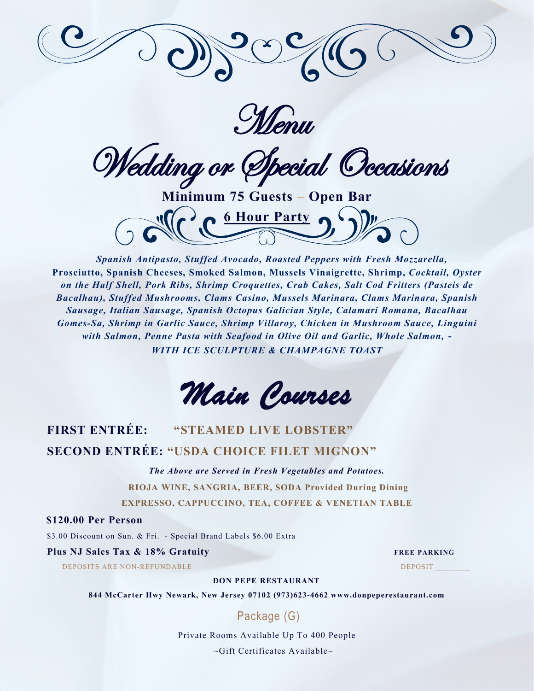

**Menu** 

Wedding or Special Occasions

**Minimum 75 Guests – Open Bar 6 Hour Party** 

*Spanish Antipasto, Stuffed Avocado, Roasted Peppers with Fresh Mozzarella,*  **Prosciutto, Spanish Cheeses, Smoked Salmon, Mussels Vinaigrette, Shrimp,** *Cocktail, Oyster on the Half Shell, Pork Ribs, Shrimp Croquettes, Crab Cakes, Salt Cod Fritters (Pasteis de Bacalhau), Stuffed Mushrooms, Clams Casino, Mussels Marinara, Clams Marinara, Spanish Sausage, Italian Sausage, Spanish Octopus Galician Style, Calamari Romana, Bacalhau Gomes-Sa, Shrimp in Garlic Sauce, Shrimp Villaroy, Chicken in Mushroom Sauce, Linguini with Salmon, Penne Pasta with Seafood in Olive Oil and Garlic, Whole Salmon,* **-** *WITH ICE SCULPTURE & CHAMPAGNE TOAST*

*Main Courses* 

# **FIRST ENTRÉE: "STEAMED LIVE LOBSTER" SECOND ENTRÉE: "USDA CHOICE FILET MIGNON"**

*The Above are Served in Fresh Vegetables and Potatoes.*

**RIOJA WINE, SANGRIA, BEER, SODA Provided During Dining EXPRESSO, CAPPUCCINO, TEA, COFFEE & VENETIAN TABLE**

**\$120.00 Per Person** 

\$3.00 Discount on Sun. & Fri. - Special Brand Labels \$6.00 Extra

### **Plus NJ Sales Tax & 18% Gratuity FREE PARKING**

DEPOSITS ARE NON-REFUNDABLE DEPOSIT

### **DON PEPE RESTAURANT**

**844 McCarter Hwy Newark, New Jersey 07102 (973)623-4662 www.donpeperestaurant.com**

Package (G)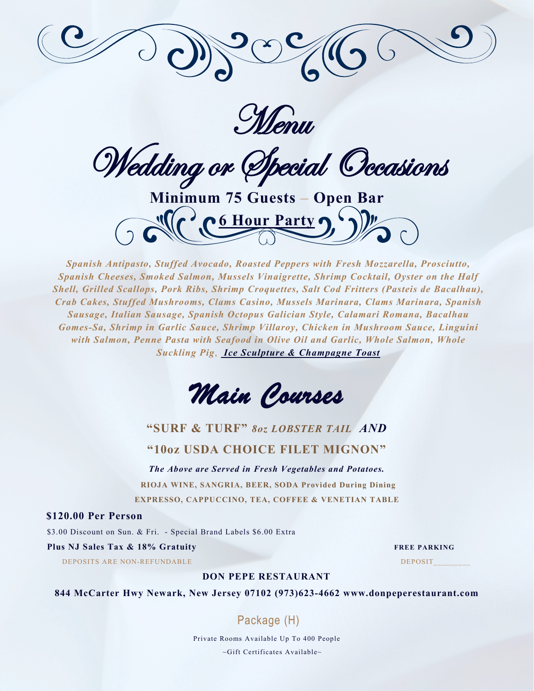

Menu

Wedding or Special Occasions

**Minimum 75 Guests – Open Bar 6 Hour Party** 

*Spanish Antipasto, Stuffed Avocado, Roasted Peppers with Fresh Mozzarella, Prosciutto, Spanish Cheeses, Smoked Salmon, Mussels Vinaigrette, Shrimp Cocktail, Oyster on the Half Shell, Grilled Scallops, Pork Ribs, Shrimp Croquettes, Salt Cod Fritters (Pasteis de Bacalhau), Crab Cakes, Stuffed Mushrooms, Clams Casino, Mussels Marinara, Clams Marinara, Spanish Sausage, Italian Sausage, Spanish Octopus Galician Style, Calamari Romana, Bacalhau Gomes-Sa, Shrimp in Garlic Sauce, Shrimp Villaroy, Chicken in Mushroom Sauce, Linguini with Salmon, Penne Pasta with Seafood in Olive Oil and Garlic, Whole Salmon, Whole Suckling Pig*, *Ice Sculpture & Champagne Toast*



# **"SURF & TURF"** *8oz LOBSTER TAIL AND* **"10oz USDA CHOICE FILET MIGNON"**

*The Above are Served in Fresh Vegetables and Potatoes.* **RIOJA WINE, SANGRIA, BEER, SODA Provided During Dining EXPRESSO, CAPPUCCINO, TEA, COFFEE & VENETIAN TABLE**

**\$120.00 Per Person** 

\$3.00 Discount on Sun. & Fri. - Special Brand Labels \$6.00 Extra

### **Plus NJ Sales Tax & 18% Gratuity FREE PARKING**

DEPOSITS ARE NON-REFUNDABLE DEPOSIT

### **DON PEPE RESTAURANT**

**844 McCarter Hwy Newark, New Jersey 07102 (973)623-4662 www.donpeperestaurant.com**

# Package (H)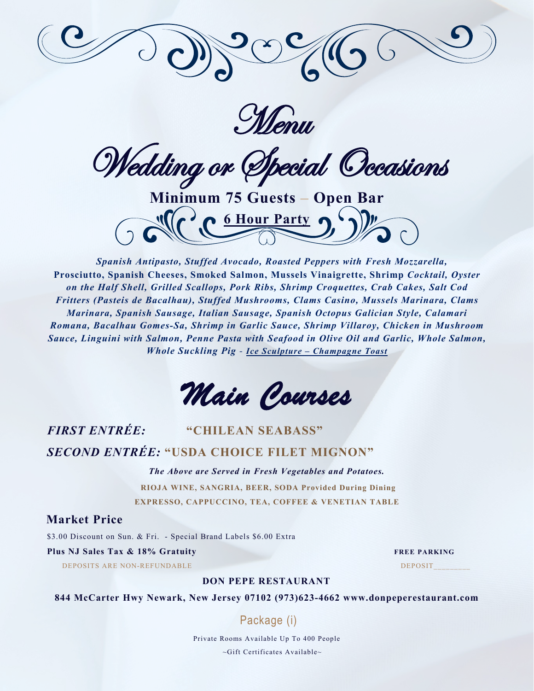

Menu

Wedding or Special Occasions

**Minimum 75 Guests – Open Bar 6 Hour Party** 

*Spanish Antipasto, Stuffed Avocado, Roasted Peppers with Fresh Mozzarella,*  **Prosciutto, Spanish Cheeses, Smoked Salmon, Mussels Vinaigrette, Shrimp** *Cocktail, Oyster on the Half Shell, Grilled Scallops, Pork Ribs, Shrimp Croquettes, Crab Cakes, Salt Cod Fritters (Pasteis de Bacalhau), Stuffed Mushrooms, Clams Casino, Mussels Marinara, Clams Marinara, Spanish Sausage, Italian Sausage, Spanish Octopus Galician Style, Calamari Romana, Bacalhau Gomes-Sa, Shrimp in Garlic Sauce, Shrimp Villaroy, Chicken in Mushroom Sauce, Linguini with Salmon, Penne Pasta with Seafood in Olive Oil and Garlic, Whole Salmon, Whole Suckling Pig - Ice Sculpture – Champagne Toast*

*Main Courses* 

# *FIRST ENTRÉE:* **"CHILEAN SEABASS"** *SECOND ENTRÉE:* **"USDA CHOICE FILET MIGNON"**

*The Above are Served in Fresh Vegetables and Potatoes.* **RIOJA WINE, SANGRIA, BEER, SODA Provided During Dining EXPRESSO, CAPPUCCINO, TEA, COFFEE & VENETIAN TABLE**

**Market Price** 

\$3.00 Discount on Sun. & Fri. - Special Brand Labels \$6.00 Extra

### **Plus NJ Sales Tax & 18% Gratuity FREE PARKING**

DEPOSITS ARE NON-REFUNDABLE DEPOSIT

**DON PEPE RESTAURANT**

**844 McCarter Hwy Newark, New Jersey 07102 (973)623-4662 www.donpeperestaurant.com**

# Package (i)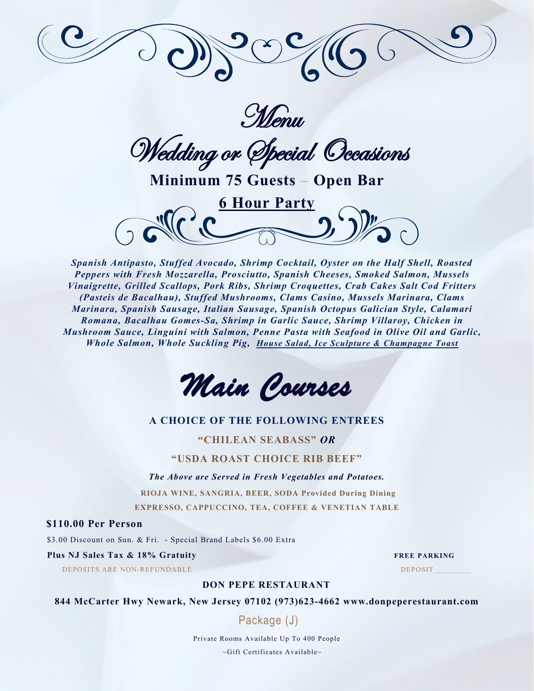

Menu

Wedding or Special Occasions

**Minimum 75 Guests – Open Bar**



*Spanish Antipasto, Stuffed Avocado, Shrimp Cocktail, Oyster on the Half Shell, Roasted Peppers with Fresh Mozzarella, Prosciutto, Spanish Cheeses, Smoked Salmon, Mussels Vinaigrette, Grilled Scallops, Pork Ribs, Shrimp Croquettes, Crab Cakes Salt Cod Fritters (Pasteis de Bacalhau), Stuffed Mushrooms, Clams Casino, Mussels Marinara, Clams Marinara, Spanish Sausage, Italian Sausage, Spanish Octopus Galician Style, Calamari Romana, Bacalhau Gomes-Sa, Shrimp in Garlic Sauce, Shrimp Villaroy, Chicken in Mushroom Sauce, Linguini with Salmon, Penne Pasta with Seafood in Olive Oil and Garlic, Whole Salmon, Whole Suckling Pig, House Salad, Ice Sculpture & Champagne Toast*

*Main Courses* 

### **A CHOICE OF THE FOLLOWING ENTREES**

**"CHILEAN SEABASS"** *OR*

**"USDA ROAST CHOICE RIB BEEF"**

*The Above are Served in Fresh Vegetables and Potatoes.*

**RIOJA WINE, SANGRIA, BEER, SODA Provided During Dining EXPRESSO, CAPPUCCINO, TEA, COFFEE & VENETIAN TABLE**

**\$110.00 Per Person** 

\$3.00 Discount on Sun. & Fri. - Special Brand Labels \$6.00 Extra

#### **Plus NJ Sales Tax & 18% Gratuity FREE PARKING**

DEPOSITS ARE NON-REFUNDABLE DEPOSITE AND DEPOSITE DEPOSITE DEPOSITE DEPOSITE DEPOSITE DEPOSITE DEPOSITE DEPOSIT

### **DON PEPE RESTAURANT**

**844 McCarter Hwy Newark, New Jersey 07102 (973)623-4662 www.donpeperestaurant.com**

Package (J)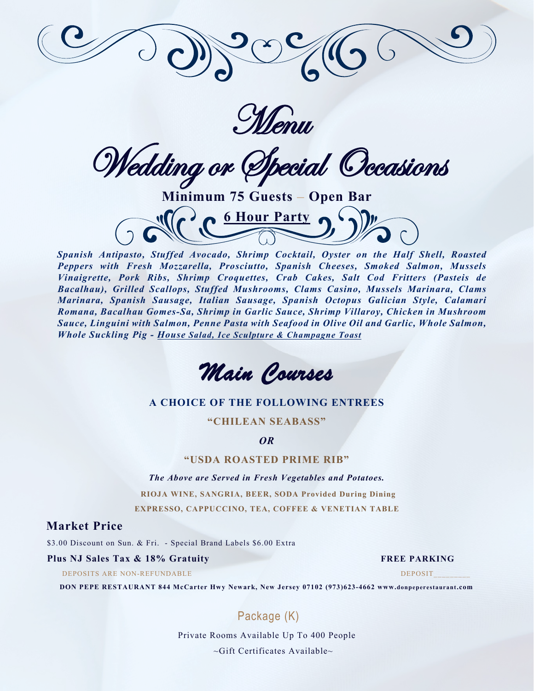

Menu

Wedding or Special Occasions

**Minimum 75 Guests – Open Bar 6 Hour Party** 

*Spanish Antipasto, Stuffed Avocado, Shrimp Cocktail, Oyster on the Half Shell, Roasted Peppers with Fresh Mozzarella, Prosciutto, Spanish Cheeses, Smoked Salmon, Mussels Vinaigrette, Pork Ribs, Shrimp Croquettes, Crab Cakes, Salt Cod Fritters (Pasteis de Bacalhau), Grilled Scallops, Stuffed Mushrooms, Clams Casino, Mussels Marinara, Clams Marinara, Spanish Sausage, Italian Sausage, Spanish Octopus Galician Style, Calamari Romana, Bacalhau Gomes-Sa, Shrimp in Garlic Sauce, Shrimp Villaroy, Chicken in Mushroom Sauce, Linguini with Salmon, Penne Pasta with Seafood in Olive Oil and Garlic, Whole Salmon, Whole Suckling Pig - House Salad, Ice Sculpture & Champagne Toast*

*Main Courses* 

### **A CHOICE OF THE FOLLOWING ENTREES**

**"CHILEAN SEABASS"**

*OR*

### **"USDA ROASTED PRIME RIB"**

*The Above are Served in Fresh Vegetables and Potatoes.* **RIOJA WINE, SANGRIA, BEER, SODA Provided During Dining EXPRESSO, CAPPUCCINO, TEA, COFFEE & VENETIAN TABLE**

### **Market Price**

\$3.00 Discount on Sun. & Fri. - Special Brand Labels \$6.00 Extra

### **Plus NJ Sales Tax & 18% Gratuity FREE PARKING**

DEPOSITS ARE NON-REFUNDABLE DEPOSIT

**DON PEPE RESTAURANT 844 McCarter Hwy Newark, New Jersey 07102 (973)623-4662 www.donpeperestaurant.com**

# Package (K)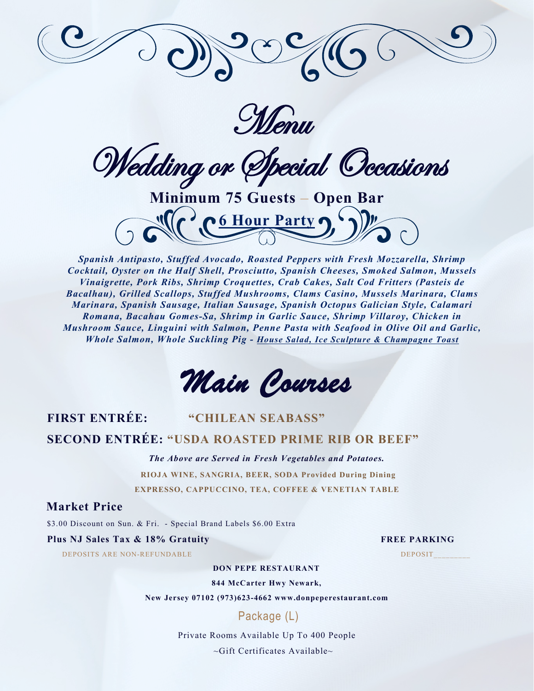

Menu

Wedding or Special Occasions

**Minimum 75 Guests – Open Bar 6 Hour Party** 

*Spanish Antipasto, Stuffed Avocado, Roasted Peppers with Fresh Mozzarella, Shrimp Cocktail, Oyster on the Half Shell, Prosciutto, Spanish Cheeses, Smoked Salmon, Mussels Vinaigrette, Pork Ribs, Shrimp Croquettes, Crab Cakes, Salt Cod Fritters (Pasteis de Bacalhau), Grilled Scallops, Stuffed Mushrooms, Clams Casino, Mussels Marinara, Clams Marinara, Spanish Sausage, Italian Sausage, Spanish Octopus Galician Style, Calamari Romana, Bacahau Gomes-Sa, Shrimp in Garlic Sauce, Shrimp Villaroy, Chicken in Mushroom Sauce, Linguini with Salmon, Penne Pasta with Seafood in Olive Oil and Garlic, Whole Salmon, Whole Suckling Pig - House Salad, Ice Sculpture & Champagne Toast*

*Main Courses* 

# **FIRST ENTRÉE: "CHILEAN SEABASS"**

# **SECOND ENTRÉE: "USDA ROASTED PRIME RIB OR BEEF"**

*The Above are Served in Fresh Vegetables and Potatoes.*

**RIOJA WINE, SANGRIA, BEER, SODA Provided During Dining EXPRESSO, CAPPUCCINO, TEA, COFFEE & VENETIAN TABLE**

### **Market Price**

\$3.00 Discount on Sun. & Fri. - Special Brand Labels \$6.00 Extra

### **Plus NJ Sales Tax & 18% Gratuity FREE PARKING**

DEPOSITS ARE NON-REFUNDABLE DEPOSIT

### **DON PEPE RESTAURANT**

**844 McCarter Hwy Newark,**

**New Jersey 07102 (973)623-4662 www.donpeperestaurant.com**

# Package (L)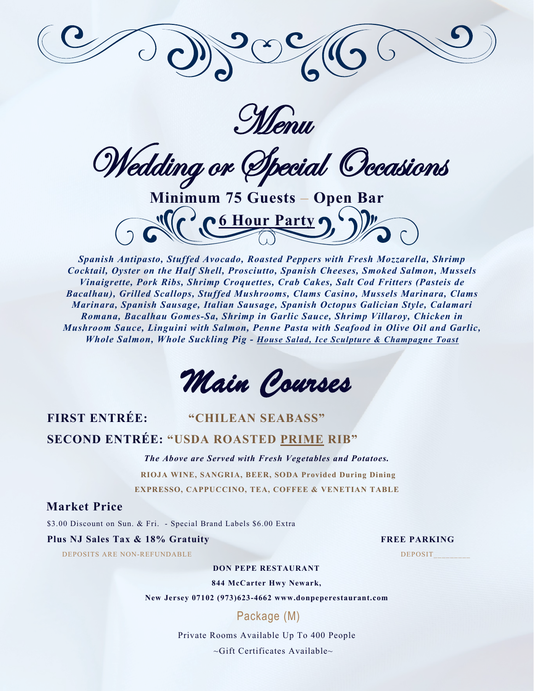

Menu

Wedding or Special Occasions

**Minimum 75 Guests – Open Bar 6 Hour Party** 

*Spanish Antipasto, Stuffed Avocado, Roasted Peppers with Fresh Mozzarella, Shrimp Cocktail, Oyster on the Half Shell, Prosciutto, Spanish Cheeses, Smoked Salmon, Mussels Vinaigrette, Pork Ribs, Shrimp Croquettes, Crab Cakes, Salt Cod Fritters (Pasteis de Bacalhau), Grilled Scallops, Stuffed Mushrooms, Clams Casino, Mussels Marinara, Clams Marinara, Spanish Sausage, Italian Sausage, Spanish Octopus Galician Style, Calamari Romana, Bacalhau Gomes-Sa, Shrimp in Garlic Sauce, Shrimp Villaroy, Chicken in Mushroom Sauce, Linguini with Salmon, Penne Pasta with Seafood in Olive Oil and Garlic, Whole Salmon, Whole Suckling Pig - House Salad, Ice Sculpture & Champagne Toast*

*Main Courses* 

# **FIRST ENTRÉE: "CHILEAN SEABASS"**

# **SECOND ENTRÉE: "USDA ROASTED PRIME RIB"**

*The Above are Served with Fresh Vegetables and Potatoes.*

**RIOJA WINE, SANGRIA, BEER, SODA Provided During Dining EXPRESSO, CAPPUCCINO, TEA, COFFEE & VENETIAN TABLE**

### **Market Price**

\$3.00 Discount on Sun. & Fri. - Special Brand Labels \$6.00 Extra

### **Plus NJ Sales Tax & 18% Gratuity FREE PARKING**

DEPOSITS ARE NON-REFUNDABLE DEPOSIT

### **DON PEPE RESTAURANT**

**844 McCarter Hwy Newark,**

**New Jersey 07102 (973)623-4662 www.donpeperestaurant.com**

### Package (M)